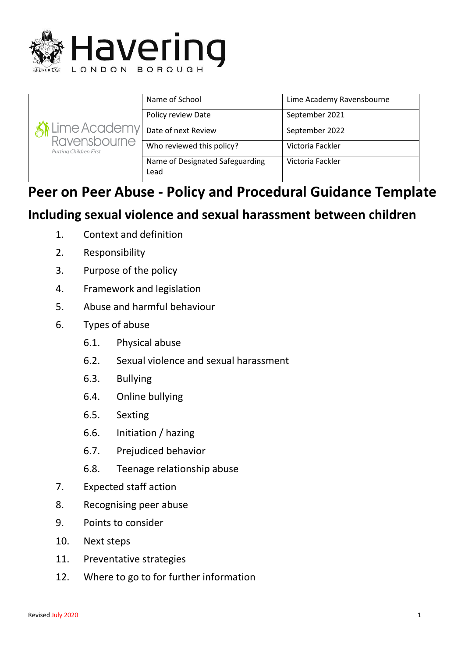

| i Lime Academy<br>Ravensbourne<br>Putting Children First | Name of School                          | Lime Academy Ravensbourne |
|----------------------------------------------------------|-----------------------------------------|---------------------------|
|                                                          | Policy review Date                      | September 2021            |
|                                                          | Date of next Review                     | September 2022            |
|                                                          | Who reviewed this policy?               | Victoria Fackler          |
|                                                          | Name of Designated Safeguarding<br>Lead | Victoria Fackler          |

# **Peer on Peer Abuse - Policy and Procedural Guidance Template**

## **Including sexual violence and sexual harassment between children**

- 1. Context and definition
- 2. Responsibility
- 3. Purpose of the policy
- 4. Framework and legislation
- 5. Abuse and harmful behaviour
- 6. Types of abuse
	- 6.1. Physical abuse
	- 6.2. Sexual violence and sexual harassment
	- 6.3. Bullying
	- 6.4. Online bullying
	- 6.5. Sexting
	- 6.6. Initiation / hazing
	- 6.7. Prejudiced behavior
	- 6.8. Teenage relationship abuse
- 7. Expected staff action
- 8. Recognising peer abuse
- 9. Points to consider
- 10. Next steps
- 11. Preventative strategies
- 12. Where to go to for further information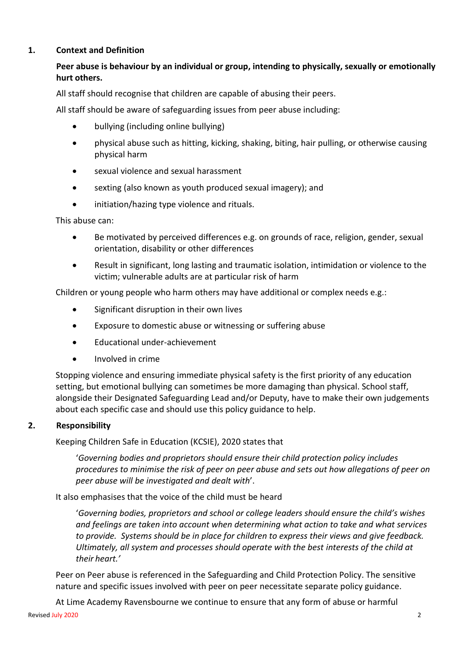### **1. Context and Definition**

## **Peer abuse is behaviour by an individual or group, intending to physically, sexually or emotionally hurt others.**

All staff should recognise that children are capable of abusing their peers.

All staff should be aware of safeguarding issues from peer abuse including:

- bullying (including online bullying)
- physical abuse such as hitting, kicking, shaking, biting, hair pulling, or otherwise causing physical harm
- sexual violence and sexual harassment
- sexting (also known as youth produced sexual imagery); and
- initiation/hazing type violence and rituals.

This abuse can:

- Be motivated by perceived differences e.g. on grounds of race, religion, gender, sexual orientation, disability or other differences
- Result in significant, long lasting and traumatic isolation, intimidation or violence to the victim; vulnerable adults are at particular risk of harm

Children or young people who harm others may have additional or complex needs e.g.:

- Significant disruption in their own lives
- Exposure to domestic abuse or witnessing or suffering abuse
- Educational under-achievement
- Involved in crime

Stopping violence and ensuring immediate physical safety is the first priority of any education setting, but emotional bullying can sometimes be more damaging than physical. School staff, alongside their Designated Safeguarding Lead and/or Deputy, have to make their own judgements about each specific case and should use this policy guidance to help.

#### **2. Responsibility**

Keeping Children Safe in Education (KCSIE), 2020 states that

'*Governing bodies and proprietors should ensure their child protection policy includes procedures to minimise the risk of peer on peer abuse and sets out how allegations of peer on peer abuse will be investigated and dealt with*'.

It also emphasises that the voice of the child must be heard

'*Governing bodies, proprietors and school or college leaders should ensure the child's wishes and feelings are taken into account when determining what action to take and what services to provide. Systems should be in place for children to express their views and give feedback. Ultimately, all system and processes should operate with the best interests of the child at their heart.'*

Peer on Peer abuse is referenced in the Safeguarding and Child Protection Policy. The sensitive nature and specific issues involved with peer on peer necessitate separate policy guidance.

At Lime Academy Ravensbourne we continue to ensure that any form of abuse or harmful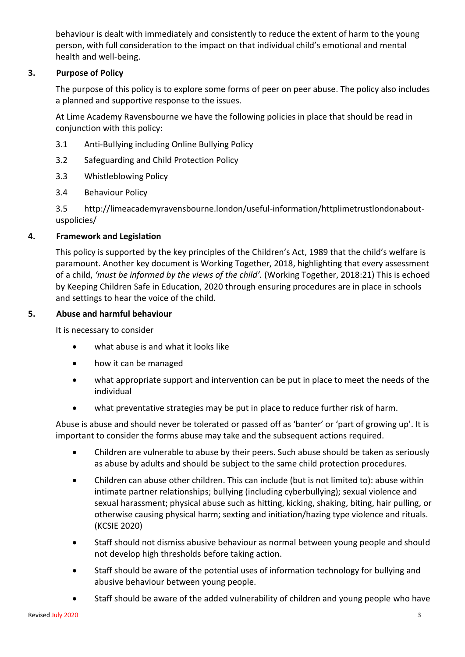behaviour is dealt with immediately and consistently to reduce the extent of harm to the young person, with full consideration to the impact on that individual child's emotional and mental health and well-being.

## **3. Purpose of Policy**

The purpose of this policy is to explore some forms of peer on peer abuse. The policy also includes a planned and supportive response to the issues.

At Lime Academy Ravensbourne we have the following policies in place that should be read in conjunction with this policy:

- 3.1 Anti-Bullying including Online Bullying Policy
- 3.2 Safeguarding and Child Protection Policy
- 3.3 Whistleblowing Policy
- 3.4 Behaviour Policy

3.5 http://limeacademyravensbourne.london/useful-information/httplimetrustlondonaboutuspolicies/

## **4. Framework and Legislation**

This policy is supported by the key principles of the Children's Act, 1989 that the child's welfare is paramount. Another key document is Working Together, 2018, highlighting that every assessment of a child, *'must be informed by the views of the child'.* (Working Together, 2018:21) This is echoed by Keeping Children Safe in Education, 2020 through ensuring procedures are in place in schools and settings to hear the voice of the child.

## **5. Abuse and harmful behaviour**

It is necessary to consider

- what abuse is and what it looks like
- how it can be managed
- what appropriate support and intervention can be put in place to meet the needs of the individual
- what preventative strategies may be put in place to reduce further risk of harm.

Abuse is abuse and should never be tolerated or passed off as 'banter' or 'part of growing up'. It is important to consider the forms abuse may take and the subsequent actions required.

- Children are vulnerable to abuse by their peers. Such abuse should be taken as seriously as abuse by adults and should be subject to the same child protection procedures.
- Children can abuse other children. This can include (but is not limited to): abuse within intimate partner relationships; bullying (including cyberbullying); sexual violence and sexual harassment; physical abuse such as hitting, kicking, shaking, biting, hair pulling, or otherwise causing physical harm; sexting and initiation/hazing type violence and rituals. (KCSIE 2020)
- Staff should not dismiss abusive behaviour as normal between young people and should not develop high thresholds before taking action.
- Staff should be aware of the potential uses of information technology for bullying and abusive behaviour between young people.
- Staff should be aware of the added vulnerability of children and young people who have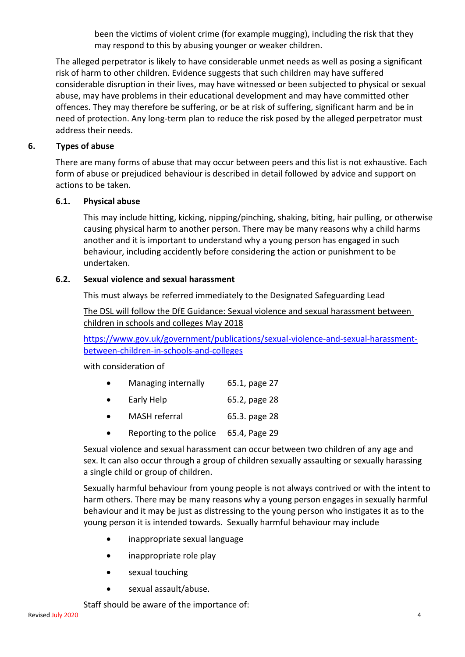been the victims of violent crime (for example mugging), including the risk that they may respond to this by abusing younger or weaker children.

The alleged perpetrator is likely to have considerable unmet needs as well as posing a significant risk of harm to other children. Evidence suggests that such children may have suffered considerable disruption in their lives, may have witnessed or been subjected to physical or [sexual](http://trixresources.proceduresonline.com/nat_key/keywords/sexual_abuse.html)  [abuse,](http://trixresources.proceduresonline.com/nat_key/keywords/sexual_abuse.html) may have problems in their educational development and may have committed other offences. They may therefore be suffering, or be at risk of suffering, [significant harm](http://trixresources.proceduresonline.com/nat_key/keywords/significant_harm.html) and be in need of protection. Any long-term plan to reduce the risk posed by the alleged perpetrator must address their needs.

## **6. Types of abuse**

There are many forms of abuse that may occur between peers and this list is not exhaustive. Each form of abuse or prejudiced behaviour is described in detail followed by advice and support on actions to be taken.

## **6.1. Physical abuse**

This may include hitting, kicking, nipping/pinching, shaking, biting, hair pulling, or otherwise causing physical harm to another person. There may be many reasons why a child harms another and it is important to understand why a young person has engaged in such behaviour, including accidently before considering the action or punishment to be undertaken.

## **6.2. Sexual violence and sexual harassment**

This must always be referred immediately to the Designated Safeguarding Lead

The DSL will follow the DfE Guidance: [Sexual violence and sexual harassment between](https://www.gov.uk/government/uploads/system/uploads/attachment_data/file/719902/Sexual_violence_and_sexual_harassment_between_children_in_schools_and_colleges.pdf)  [children in schools and colleges](https://www.gov.uk/government/uploads/system/uploads/attachment_data/file/719902/Sexual_violence_and_sexual_harassment_between_children_in_schools_and_colleges.pdf) May 2018

[https://www.gov.uk/government/publications/sexual-violence-and-sexual-harassment](https://www.gov.uk/government/publications/sexual-violence-and-sexual-harassment-between-children-in-schools-and-colleges)[between-children-in-schools-and-colleges](https://www.gov.uk/government/publications/sexual-violence-and-sexual-harassment-between-children-in-schools-and-colleges)

with consideration of

- Managing internally 65.1, page 27
- Early Help 65.2, page 28
- MASH referral 65.3. page 28
- Reporting to the police 65.4, Page 29

Sexual violence and sexual harassment can occur between two children of any age and sex. It can also occur through a group of children sexually assaulting or sexually harassing a single child or group of children.

Sexually harmful behaviour from young people is not always contrived or with the intent to harm others. There may be many reasons why a young person engages in sexually harmful behaviour and it may be just as distressing to the young person who instigates it as to the young person it is intended towards. Sexually harmful behaviour may include

- inappropriate sexual language
- inappropriate role play
- sexual touching
- sexual assault/abuse.

Staff should be aware of the importance of: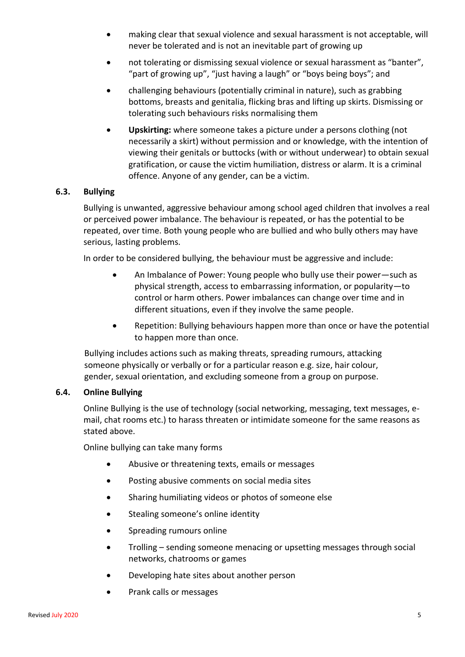- making clear that sexual violence and sexual harassment is not acceptable, will never be tolerated and is not an inevitable part of growing up
- not tolerating or dismissing sexual violence or sexual harassment as "banter", "part of growing up", "just having a laugh" or "boys being boys"; and
- challenging behaviours (potentially criminal in nature), such as grabbing bottoms, breasts and genitalia, flicking bras and lifting up skirts. Dismissing or tolerating such behaviours risks normalising them
- **Upskirting:** where someone takes a picture under a persons clothing (not necessarily a skirt) without permission and or knowledge, with the intention of viewing their genitals or buttocks (with or without underwear) to obtain sexual gratification, or cause the victim humiliation, distress or alarm. It is a criminal offence. Anyone of any gender, can be a victim.

#### **6.3. Bullying**

Bullying is unwanted, aggressive behaviour among school aged children that involves a real or perceived power imbalance. The behaviour is repeated, or has the potential to be repeated, over time. Both young people who are bullied and who bully others may have serious, lasting problems.

In order to be considered bullying, the behaviour must be aggressive and include:

- An Imbalance of Power: Young people who bully use their power—such as physical strength, access to embarrassing information, or popularity—to control or harm others. Power imbalances can change over time and in different situations, even if they involve the same people.
- Repetition: Bullying behaviours happen more than once or have the potential to happen more than once.

Bullying includes actions such as making threats, spreading rumours, attacking someone physically or verbally or for a particular reason e.g. size, hair colour, gender, sexual orientation, and excluding someone from a group on purpose.

#### **6.4. Online Bullying**

Online Bullying is the use of technology (social networking, messaging, text messages, email, chat rooms etc.) to harass threaten or intimidate someone for the same reasons as stated above.

Online bullying can take many forms

- Abusive or threatening texts, emails or messages
- Posting abusive comments on social media sites
- Sharing humiliating videos or photos of someone else
- Stealing someone's online identity
- **•** Spreading rumours online
- Trolling sending someone menacing or upsetting messages through social networks, chatrooms or games
- Developing hate sites about another person
- Prank calls or messages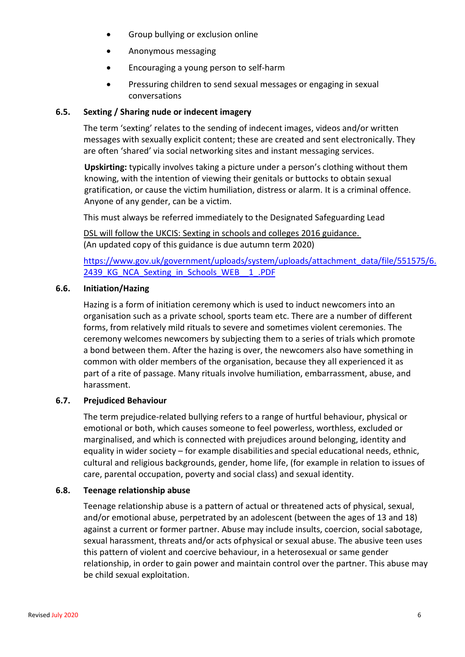- Group bullying or exclusion online
- Anonymous messaging
- Encouraging a young person to self-harm
- Pressuring children to send sexual messages or engaging in sexual conversations

#### **6.5. Sexting / Sharing nude or indecent imagery**

The term 'sexting' relates to the sending of indecent images, videos and/or written messages with sexually explicit content; these are created and sent electronically. They are often 'shared' via social networking sites and instant messaging services.

**Upskirting:** typically involves taking a picture under a person's clothing without them knowing, with the intention of viewing their genitals or buttocks to obtain sexual gratification, or cause the victim humiliation, distress or alarm. It is a criminal offence. Anyone of any gender, can be a victim.

This must always be referred immediately to the Designated Safeguarding Lead

DSL will follow the UKCIS: Sexting in schools and colleges 2016 guidance. (An updated copy of this guidance is due autumn term 2020)

[https://www.gov.uk/government/uploads/system/uploads/attachment\\_data/file/551575/6.](https://www.gov.uk/government/uploads/system/uploads/attachment_data/file/551575/6.2439_KG_NCA_Sexting_in_Schools_WEB__1_.PDF) 2439 KG NCA Sexting in Schools WEB 1.PDF

#### **6.6. Initiation/Hazing**

Hazing is a form of initiation ceremony which is used to induct newcomers into an organisation such as a private school, sports team etc. There are a number of different forms, from relatively mild rituals to severe and sometimes violent ceremonies. The ceremony welcomes newcomers by subjecting them to a series of trials which promote a bond between them. After the hazing is over, the newcomers also have something in common with older members of the organisation, because they all experienced it as part of a rite of passage. Many rituals involve humiliation, embarrassment, abuse, and harassment.

## **6.7. Prejudiced Behaviour**

The term prejudice-related bullying refers to a range of hurtful behaviour, physical or emotional or both, which causes someone to feel powerless, worthless, excluded or marginalised, and which is connected with prejudices around belonging, identity and equality in wider society – for example disabilities and special educational needs, ethnic, cultural and religious backgrounds, gender, home life, (for example in relation to issues of care, parental occupation, poverty and social class) and sexual identity.

#### **6.8. Teenage relationship abuse**

Teenage relationship abuse is a pattern of actual or threatened acts of physical, sexual, and/or emotional abuse, perpetrated by an adolescent (between the ages of 13 and 18) against a current or former partner. Abuse may include insults, coercion, social sabotage, sexual harassment, threats and/or acts ofphysical or sexual abuse. The abusive teen uses this pattern of violent and coercive behaviour, in a heterosexual or same gender relationship, in order to gain power and maintain control over the partner. This abuse may be child sexual exploitation.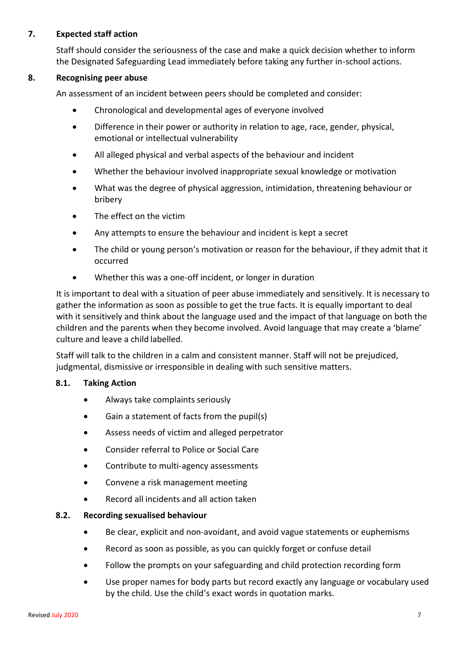#### **7. Expected staff action**

Staff should consider the seriousness of the case and make a quick decision whether to inform the Designated Safeguarding Lead immediately before taking any further in-school actions.

#### **8. Recognising peer abuse**

An assessment of an incident between peers should be completed and consider:

- Chronological and developmental ages of everyone involved
- Difference in their power or authority in relation to age, race, gender, physical, emotional or intellectual vulnerability
- All alleged physical and verbal aspects of the behaviour and incident
- Whether the behaviour involved inappropriate sexual knowledge or motivation
- What was the degree of physical aggression, intimidation, threatening behaviour or bribery
- The effect on the victim
- Any attempts to ensure the behaviour and incident is kept a secret
- The child or young person's motivation or reason for the behaviour, if they admit that it occurred
- Whether this was a one-off incident, or longer in duration

It is important to deal with a situation of peer abuse immediately and sensitively. It is necessary to gather the information as soon as possible to get the true facts. It is equally important to deal with it sensitively and think about the language used and the impact of that language on both the children and the parents when they become involved. Avoid language that may create a 'blame' culture and leave a child labelled.

Staff will talk to the children in a calm and consistent manner. Staff will not be prejudiced, judgmental, dismissive or irresponsible in dealing with such sensitive matters.

#### **8.1. Taking Action**

- Always take complaints seriously
- Gain a statement of facts from the pupil(s)
- Assess needs of victim and alleged perpetrator
- Consider referral to Police or Social Care
- Contribute to multi-agency assessments
- Convene a risk management meeting
- Record all incidents and all action taken

#### **8.2. Recording sexualised behaviour**

- Be clear, explicit and non-avoidant, and avoid vague statements or euphemisms
- Record as soon as possible, as you can quickly forget or confuse detail
- Follow the prompts on your safeguarding and child protection recording form
- Use proper names for body parts but record exactly any language or vocabulary used by the child. Use the child's exact words in quotation marks.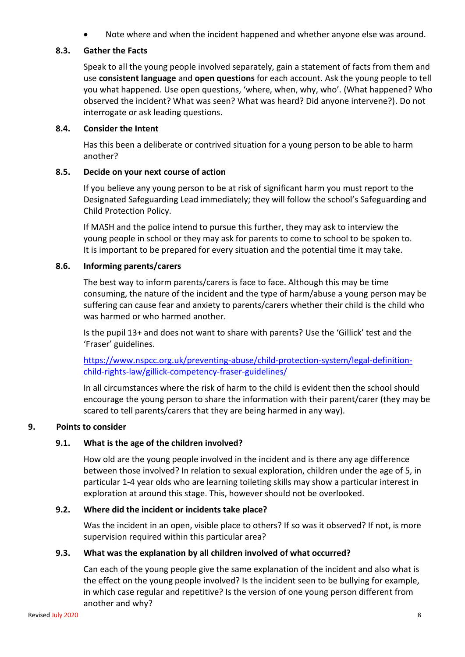Note where and when the incident happened and whether anyone else was around.

#### **8.3. Gather the Facts**

Speak to all the young people involved separately, gain a statement of facts from them and use **consistent language** and **open questions** for each account. Ask the young people to tell you what happened. Use open questions, 'where, when, why, who'. (What happened? Who observed the incident? What was seen? What was heard? Did anyone intervene?). Do not interrogate or ask leading questions.

#### **8.4. Consider the Intent**

Has this been a deliberate or contrived situation for a young person to be able to harm another?

#### **8.5. Decide on your next course of action**

If you believe any young person to be at risk of significant harm you must report to the Designated Safeguarding Lead immediately; they will follow the school's Safeguarding and Child Protection Policy.

If MASH and the police intend to pursue this further, they may ask to interview the young people in school or they may ask for parents to come to school to be spoken to. It is important to be prepared for every situation and the potential time it may take.

#### **8.6. Informing parents/carers**

The best way to inform parents/carers is face to face. Although this may be time consuming, the nature of the incident and the type of harm/abuse a young person may be suffering can cause fear and anxiety to parents/carers whether their child is the child who was harmed or who harmed another.

Is the pupil 13+ and does not want to share with parents? Use the 'Gillick' test and the 'Fraser' guidelines.

[https://www.nspcc.org.uk/preventing-abuse/child-protection-system/legal-definition](https://www.nspcc.org.uk/preventing-abuse/child-protection-system/legal-definition-child-rights-law/gillick-competency-fraser-guidelines/)[child-rights-law/gillick-competency-fraser-guidelines/](https://www.nspcc.org.uk/preventing-abuse/child-protection-system/legal-definition-child-rights-law/gillick-competency-fraser-guidelines/)

In all circumstances where the risk of harm to the child is evident then the school should encourage the young person to share the information with their parent/carer (they may be scared to tell parents/carers that they are being harmed in any way).

## **9. Points to consider**

## **9.1. What is the age of the children involved?**

How old are the young people involved in the incident and is there any age difference between those involved? In relation to sexual exploration, children under the age of 5, in particular 1-4 year olds who are learning toileting skills may show a particular interest in exploration at around this stage. This, however should not be overlooked.

## **9.2. Where did the incident or incidents take place?**

Was the incident in an open, visible place to others? If so was it observed? If not, is more supervision required within this particular area?

#### **9.3. What was the explanation by all children involved of what occurred?**

Can each of the young people give the same explanation of the incident and also what is the effect on the young people involved? Is the incident seen to be bullying for example, in which case regular and repetitive? Is the version of one young person different from another and why?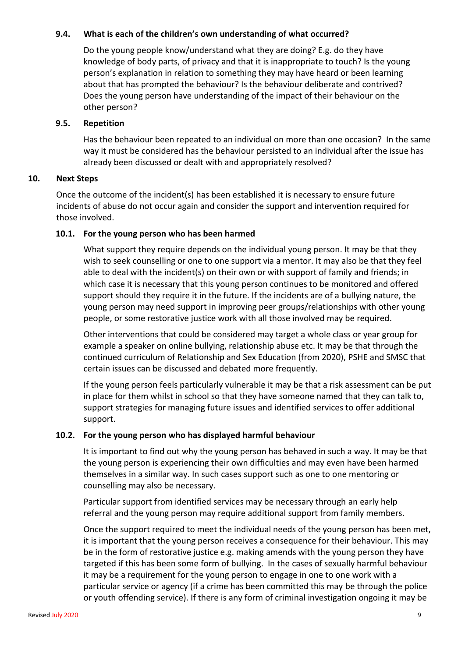#### **9.4. What is each of the children's own understanding of what occurred?**

Do the young people know/understand what they are doing? E.g. do they have knowledge of body parts, of privacy and that it is inappropriate to touch? Is the young person's explanation in relation to something they may have heard or been learning about that has prompted the behaviour? Is the behaviour deliberate and contrived? Does the young person have understanding of the impact of their behaviour on the other person?

#### **9.5. Repetition**

Has the behaviour been repeated to an individual on more than one occasion? In the same way it must be considered has the behaviour persisted to an individual after the issue has already been discussed or dealt with and appropriately resolved?

#### **10. Next Steps**

Once the outcome of the incident(s) has been established it is necessary to ensure future incidents of abuse do not occur again and consider the support and intervention required for those involved.

#### **10.1. For the young person who has been harmed**

What support they require depends on the individual young person. It may be that they wish to seek counselling or one to one support via a mentor. It may also be that they feel able to deal with the incident(s) on their own or with support of family and friends; in which case it is necessary that this young person continues to be monitored and offered support should they require it in the future. If the incidents are of a bullying nature, the young person may need support in improving peer groups/relationships with other young people, or some restorative justice work with all those involved may be required.

Other interventions that could be considered may target a whole class or year group for example a speaker on online bullying, relationship abuse etc. It may be that through the continued curriculum of Relationship and Sex Education (from 2020), PSHE and SMSC that certain issues can be discussed and debated more frequently.

If the young person feels particularly vulnerable it may be that a risk assessment can be put in place for them whilst in school so that they have someone named that they can talk to, support strategies for managing future issues and identified services to offer additional support.

## **10.2. For the young person who has displayed harmful behaviour**

It is important to find out why the young person has behaved in such a way. It may be that the young person is experiencing their own difficulties and may even have been harmed themselves in a similar way. In such cases support such as one to one mentoring or counselling may also be necessary.

Particular support from identified services may be necessary through an early help referral and the young person may require additional support from family members.

Once the support required to meet the individual needs of the young person has been met, it is important that the young person receives a consequence for their behaviour. This may be in the form of restorative justice e.g. making amends with the young person they have targeted if this has been some form of bullying. In the cases of sexually harmful behaviour it may be a requirement for the young person to engage in one to one work with a particular service or agency (if a crime has been committed this may be through the police or youth offending service). If there is any form of criminal investigation ongoing it may be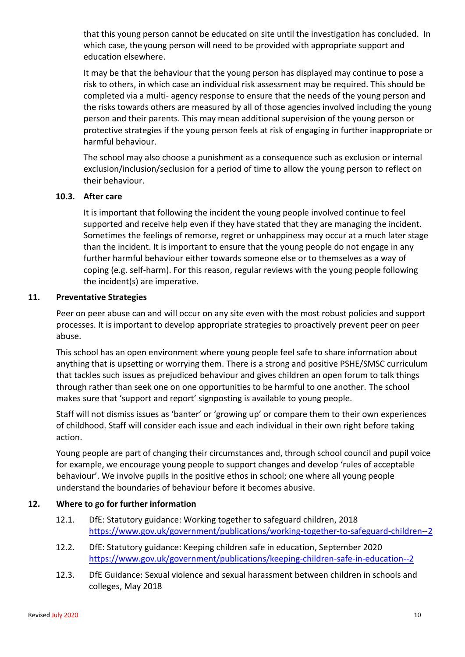that this young person cannot be educated on site until the investigation has concluded. In which case, the young person will need to be provided with appropriate support and education elsewhere.

It may be that the behaviour that the young person has displayed may continue to pose a risk to others, in which case an individual risk assessment may be required. This should be completed via a multi- agency response to ensure that the needs of the young person and the risks towards others are measured by all of those agencies involved including the young person and their parents. This may mean additional supervision of the young person or protective strategies if the young person feels at risk of engaging in further inappropriate or harmful behaviour.

The school may also choose a punishment as a consequence such as exclusion or internal exclusion/inclusion/seclusion for a period of time to allow the young person to reflect on their behaviour.

#### **10.3. After care**

It is important that following the incident the young people involved continue to feel supported and receive help even if they have stated that they are managing the incident. Sometimes the feelings of remorse, regret or unhappiness may occur at a much later stage than the incident. It is important to ensure that the young people do not engage in any further harmful behaviour either towards someone else or to themselves as a way of coping (e.g. self-harm). For this reason, regular reviews with the young people following the incident(s) are imperative.

#### **11. Preventative Strategies**

Peer on peer abuse can and will occur on any site even with the most robust policies and support processes. It is important to develop appropriate strategies to proactively prevent peer on peer abuse.

This school has an open environment where young people feel safe to share information about anything that is upsetting or worrying them. There is a strong and positive PSHE/SMSC curriculum that tackles such issues as prejudiced behaviour and gives children an open forum to talk things through rather than seek one on one opportunities to be harmful to one another. The school makes sure that 'support and report' signposting is available to young people.

Staff will not dismiss issues as 'banter' or 'growing up' or compare them to their own experiences of childhood. Staff will consider each issue and each individual in their own right before taking action.

Young people are part of changing their circumstances and, through school council and pupil voice for example, we encourage young people to support changes and develop 'rules of acceptable behaviour'. We involve pupils in the positive ethos in school; one where all young people understand the boundaries of behaviour before it becomes abusive.

#### **12. Where to go for further information**

- 12.1. DfE: Statutory guidance: Working together to safeguard children, 2018 <https://www.gov.uk/government/publications/working-together-to-safeguard-children--2>
- 12.2. DfE: Statutory guidance: Keeping children safe in education, September 2020 <https://www.gov.uk/government/publications/keeping-children-safe-in-education--2>
- 12.3. DfE Guidance: [Sexual violence and sexual harassment between children in schools and](https://www.gov.uk/government/uploads/system/uploads/attachment_data/file/719902/Sexual_violence_and_sexual_harassment_between_children_in_schools_and_colleges.pdf)  [colleges,](https://www.gov.uk/government/uploads/system/uploads/attachment_data/file/719902/Sexual_violence_and_sexual_harassment_between_children_in_schools_and_colleges.pdf) May 2018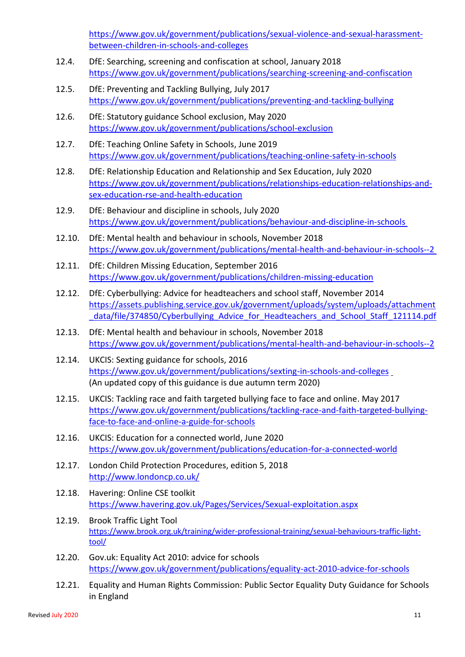[https://www.gov.uk/government/publications/sexual-violence-and-sexual-harassment](https://www.gov.uk/government/publications/sexual-violence-and-sexual-harassment-between-children-in-schools-and-colleges)[between-children-in-schools-and-colleges](https://www.gov.uk/government/publications/sexual-violence-and-sexual-harassment-between-children-in-schools-and-colleges)

- 12.4. DfE: Searching, screening and confiscation at school, January 2018 <https://www.gov.uk/government/publications/searching-screening-and-confiscation>
- 12.5. DfE: Preventing and Tackling Bullying, July 2017 <https://www.gov.uk/government/publications/preventing-and-tackling-bullying>
- 12.6. DfE: Statutory guidance School exclusion, May 2020 <https://www.gov.uk/government/publications/school-exclusion>
- 12.7. DfE: Teaching Online Safety in Schools, June 2019 <https://www.gov.uk/government/publications/teaching-online-safety-in-schools>
- 12.8. DfE: Relationship Education and Relationship and Sex Education, July 2020 [https://www.gov.uk/government/publications/relationships-education-relationships-and](https://www.gov.uk/government/publications/relationships-education-relationships-and-sex-education-rse-and-health-education)[sex-education-rse-and-health-education](https://www.gov.uk/government/publications/relationships-education-relationships-and-sex-education-rse-and-health-education)
- 12.9. DfE: Behaviour and discipline in schools, July 2020 <https://www.gov.uk/government/publications/behaviour-and-discipline-in-schools>
- 12.10. DfE: Mental health and behaviour in schools, November 2018 <https://www.gov.uk/government/publications/mental-health-and-behaviour-in-schools--2>
- 12.11. DfE: Children Missing Education, September 2016 <https://www.gov.uk/government/publications/children-missing-education>
- 12.12. DfE: Cyberbullying: Advice for headteachers and school staff, November 2014 [https://assets.publishing.service.gov.uk/government/uploads/system/uploads/attachment](https://assets.publishing.service.gov.uk/government/uploads/system/uploads/attachment_data/file/374850/Cyberbullying_Advice_for_Headteachers_and_School_Staff_121114.pdf) data/file/374850/Cyberbullying Advice for Headteachers and School Staff 121114.pdf
- 12.13. DfE: Mental health and behaviour in schools, November 2018 <https://www.gov.uk/government/publications/mental-health-and-behaviour-in-schools--2>
- 12.14. UKCIS: Sexting guidance for schools, 2016 <https://www.gov.uk/government/publications/sexting-in-schools-and-colleges> (An updated copy of this guidance is due autumn term 2020)
- 12.15. UKCIS: Tackling race and faith targeted bullying face to face and online. May 2017 [https://www.gov.uk/government/publications/tackling-race-and-faith-targeted-bullying](https://www.gov.uk/government/publications/tackling-race-and-faith-targeted-bullying-face-to-face-and-online-a-guide-for-schools)[face-to-face-and-online-a-guide-for-schools](https://www.gov.uk/government/publications/tackling-race-and-faith-targeted-bullying-face-to-face-and-online-a-guide-for-schools)
- 12.16. UKCIS: Education for a connected world, June 2020 <https://www.gov.uk/government/publications/education-for-a-connected-world>
- 12.17. London Child Protection Procedures, edition 5, 2018 <http://www.londoncp.co.uk/>
- 12.18. Havering: Online CSE toolkit <https://www.havering.gov.uk/Pages/Services/Sexual-exploitation.aspx>
- 12.19. Brook Traffic Light Tool [https://www.brook.org.uk/training/wider-professional-training/sexual-behaviours-traffic-light](https://www.brook.org.uk/training/wider-professional-training/sexual-behaviours-traffic-light-tool/)[tool/](https://www.brook.org.uk/training/wider-professional-training/sexual-behaviours-traffic-light-tool/)
- 12.20. Gov.uk: Equality Act 2010: advice for schools <https://www.gov.uk/government/publications/equality-act-2010-advice-for-schools>
- 12.21. Equality and Human Rights Commission: Public Sector Equality Duty Guidance for Schools in England